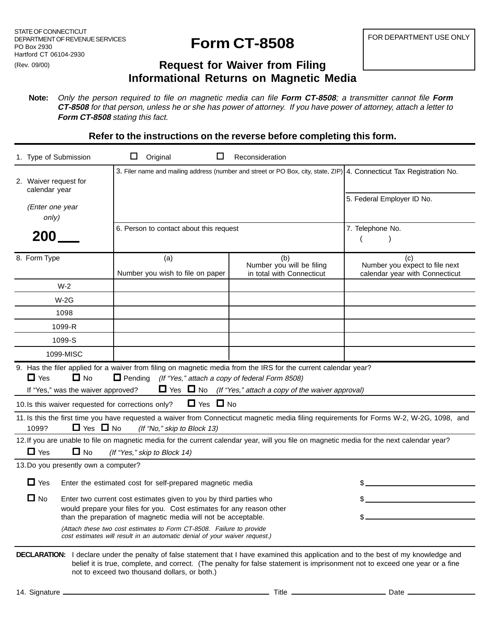## **Form CT-8508**

## **Request for Waiver from Filing Informational Returns on Magnetic Media**

**Note:** Only the person required to file on magnetic media can file **Form CT-8508**; a transmitter cannot file **Form CT-8508** for that person, unless he or she has power of attorney. If you have power of attorney, attach a letter to **Form CT-8508** stating this fact.

**Refer to the instructions on the reverse before completing this form.**

|                                                                                                                                                                                                           | 1. Type of Submission                                         | ப                                                                                                                                       | Original                     |                                  | Reconsideration                                                                                                                                                                                                                                           |                                                                                                                                                     |  |
|-----------------------------------------------------------------------------------------------------------------------------------------------------------------------------------------------------------|---------------------------------------------------------------|-----------------------------------------------------------------------------------------------------------------------------------------|------------------------------|----------------------------------|-----------------------------------------------------------------------------------------------------------------------------------------------------------------------------------------------------------------------------------------------------------|-----------------------------------------------------------------------------------------------------------------------------------------------------|--|
|                                                                                                                                                                                                           | 2. Waiver request for<br>calendar year<br>(Enter one year     |                                                                                                                                         |                              |                                  |                                                                                                                                                                                                                                                           | 3. Filer name and mailing address (number and street or PO Box, city, state, ZIP) 4. Connecticut Tax Registration No.<br>5. Federal Employer ID No. |  |
|                                                                                                                                                                                                           | only)                                                         |                                                                                                                                         |                              |                                  |                                                                                                                                                                                                                                                           |                                                                                                                                                     |  |
| 200                                                                                                                                                                                                       |                                                               | 6. Person to contact about this request                                                                                                 |                              |                                  |                                                                                                                                                                                                                                                           | 7. Telephone No.<br>$\overline{ }$                                                                                                                  |  |
|                                                                                                                                                                                                           | 8. Form Type                                                  |                                                                                                                                         | (a)                          | Number you wish to file on paper | (b)<br>Number you will be filing<br>in total with Connecticut                                                                                                                                                                                             | (c)<br>Number you expect to file next<br>calendar year with Connecticut                                                                             |  |
| $W-2$                                                                                                                                                                                                     |                                                               |                                                                                                                                         |                              |                                  |                                                                                                                                                                                                                                                           |                                                                                                                                                     |  |
| $W-2G$                                                                                                                                                                                                    |                                                               |                                                                                                                                         |                              |                                  |                                                                                                                                                                                                                                                           |                                                                                                                                                     |  |
| 1098<br>1099-R                                                                                                                                                                                            |                                                               |                                                                                                                                         |                              |                                  |                                                                                                                                                                                                                                                           |                                                                                                                                                     |  |
|                                                                                                                                                                                                           |                                                               |                                                                                                                                         |                              |                                  |                                                                                                                                                                                                                                                           |                                                                                                                                                     |  |
| 1099-S                                                                                                                                                                                                    |                                                               |                                                                                                                                         |                              |                                  |                                                                                                                                                                                                                                                           |                                                                                                                                                     |  |
|                                                                                                                                                                                                           | 1099-MISC                                                     |                                                                                                                                         |                              |                                  |                                                                                                                                                                                                                                                           |                                                                                                                                                     |  |
|                                                                                                                                                                                                           | $\Box$ Yes<br>$\Box$ No<br>If "Yes," was the waiver approved? |                                                                                                                                         |                              |                                  | 9. Has the filer applied for a waiver from filing on magnetic media from the IRS for the current calendar year?<br>$\Box$ Pending (If "Yes," attach a copy of federal Form 8508)<br>$\Box$ Yes $\Box$ No (If "Yes," attach a copy of the waiver approval) |                                                                                                                                                     |  |
| $\Box$ Yes $\Box$ No<br>10. Is this waiver requested for corrections only?                                                                                                                                |                                                               |                                                                                                                                         |                              |                                  |                                                                                                                                                                                                                                                           |                                                                                                                                                     |  |
| 11. Is this the first time you have requested a waiver from Connecticut magnetic media filing requirements for Forms W-2, W-2G, 1098, and<br>$\Box$ Yes $\Box$ No<br>1099?<br>(If "No," skip to Block 13) |                                                               |                                                                                                                                         |                              |                                  |                                                                                                                                                                                                                                                           |                                                                                                                                                     |  |
| 12. If you are unable to file on magnetic media for the current calendar year, will you file on magnetic media for the next calendar year?                                                                |                                                               |                                                                                                                                         |                              |                                  |                                                                                                                                                                                                                                                           |                                                                                                                                                     |  |
|                                                                                                                                                                                                           | $\Box$ Yes<br>$\Box$ No                                       |                                                                                                                                         | (If "Yes," skip to Block 14) |                                  |                                                                                                                                                                                                                                                           |                                                                                                                                                     |  |
|                                                                                                                                                                                                           | 13. Do you presently own a computer?                          |                                                                                                                                         |                              |                                  |                                                                                                                                                                                                                                                           |                                                                                                                                                     |  |
| $\Box$ Yes<br>Enter the estimated cost for self-prepared magnetic media                                                                                                                                   |                                                               |                                                                                                                                         |                              |                                  |                                                                                                                                                                                                                                                           |                                                                                                                                                     |  |
|                                                                                                                                                                                                           | $\Box$ No                                                     | Enter two current cost estimates given to you by third parties who                                                                      |                              |                                  |                                                                                                                                                                                                                                                           |                                                                                                                                                     |  |
|                                                                                                                                                                                                           |                                                               | would prepare your files for you. Cost estimates for any reason other<br>than the preparation of magnetic media will not be acceptable. |                              |                                  |                                                                                                                                                                                                                                                           |                                                                                                                                                     |  |
| (Attach these two cost estimates to Form CT-8508. Failure to provide<br>cost estimates will result in an automatic denial of your waiver request.)                                                        |                                                               |                                                                                                                                         |                              |                                  |                                                                                                                                                                                                                                                           |                                                                                                                                                     |  |
|                                                                                                                                                                                                           |                                                               |                                                                                                                                         |                              |                                  |                                                                                                                                                                                                                                                           |                                                                                                                                                     |  |

**DECLARATION:** I declare under the penalty of false statement that I have examined this application and to the best of my knowledge and belief it is true, complete, and correct. (The penalty for false statement is imprisonment not to exceed one year or a fine not to exceed two thousand dollars, or both.)